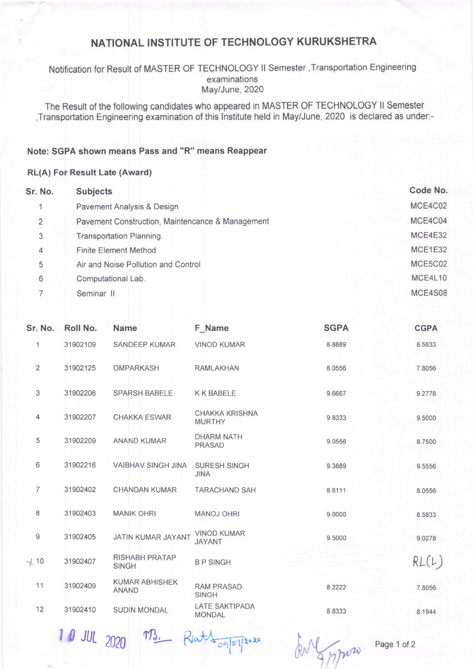# NATIONAL INSTITUTE OF TECHNOLOGY KURUKSHETRA

### Notification for Result of MASTER OF TECHNOLOGY ll Semester ,Transportation Engineering examinations May/June, 2020

The Result of the following candidates who appeared in MASTER OF TECHNOLOGY ll Semester ,Transportation Engineering examination of this lnstitute held in May/June, 2020 is declared as under:-

#### Note: SGPA shown means Pass and "R" means Reappear

#### RL(A) For Result Late (Award)

| Sr. No. | <b>Subjects</b>                                  | Code No. |
|---------|--------------------------------------------------|----------|
|         | Pavement Analysis & Design                       | MCE4C02  |
| 2       | Pavement Construction, Maintencance & Management | MCE4C04  |
| 3       | Transportation Planning.                         | MCE4E32  |
| 4       | <b>Finite Element Method</b>                     | MCE1E32  |
| 5       | Air and Noise Pollution and Control              | MCE5C02  |
| 6       | Computational Lab.                               | MCE4L10  |
|         | Seminar II                                       | MCE4S08  |

| Sr. No.        | Roll No. | <b>Name</b>                           | F Name                                 | <b>SGPA</b> | <b>CGPA</b> |
|----------------|----------|---------------------------------------|----------------------------------------|-------------|-------------|
| 1              | 31902109 | <b>SANDEEP KUMAR</b>                  | <b>VINOD KUMAR</b>                     | 8.8889      | 8.5833      |
| $\overline{2}$ | 31902125 | <b>OMPARKASH</b>                      | <b>RAMLAKHAN</b>                       | 8.0556      | 7.8056      |
| 3              | 31902206 | <b>SPARSH BABELE</b>                  | <b>KK BABELE</b>                       | 9.6667      | 9.2778      |
| 4              | 31902207 | <b>CHAKKA ESWAR</b>                   | <b>CHAKKA KRISHNA</b><br><b>MURTHY</b> | 9.8333      | 9.5000      |
| 5              | 31902209 | <b>ANAND KUMAR</b>                    | <b>DHARM NATH</b><br><b>PRASAD</b>     | 9.0556      | 8.7500      |
| 6              | 31902216 | <b>VAIBHAV SINGH JINA</b>             | <b>SURESH SINGH</b><br><b>JINA</b>     | 9.3889      | 9.5556      |
| $\overline{7}$ | 31902402 | <b>CHANDAN KUMAR</b>                  | <b>TARACHAND SAH</b>                   | 8.6111      | 8.0556      |
| 8              | 31902403 | <b>MANIK OHRI</b>                     | <b>MANOJ OHRI</b>                      | 9.0000      | 8.5833      |
| 9              | 31902405 | JATIN KUMAR JAYANT                    | <b>VINOD KUMAR</b><br><b>JAYANT</b>    | 9.5000      | 9.0278      |
| $\chi$ 10      | 31902407 | <b>RISHABH PRATAP</b><br><b>SINGH</b> | <b>BPSINGH</b>                         |             | RL(L)       |
| 11             | 31902409 | <b>KUMAR ABHISHEK</b><br><b>ANAND</b> | <b>RAM PRASAD</b><br><b>SINGH</b>      | 8.2222      | 7.8056      |
| 12             | 31902410 | <b>SUDIN MONDAL</b>                   | LATE SAKTIPADA<br><b>MONDAL</b>        | 8.8333      | 8.1944      |
|                |          |                                       |                                        |             |             |

 $10$  JUL 2020  $\pi$ 3. Rest $\sqrt{q}$  oglo $q$ s. And my

Page 1 of 2